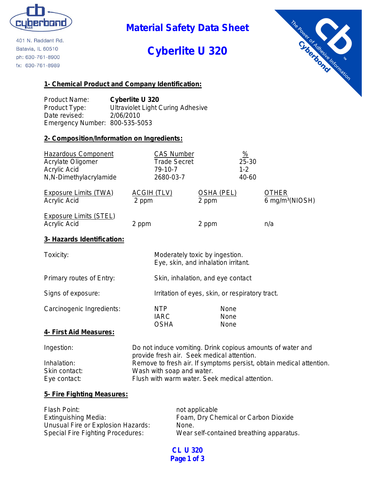

**Material Safety Data Sheet**

# **Cyberlite U 320**



401 N. Raddant Rd. Batavia, IL 60510 ph: 630-761-8900 fx: 630-761-8989

### **1- Chemical Product and Company Identification:**

Product Name: **Cyberlite U 320** Product Type: Ultraviolet Light Curing Adhesive Date revised: 2/06/2010 Emergency Number: 800-535-5053

### **2- Composition/Information on Ingredients:**

| <b>Hazardous Component</b><br>Acrylate Oligomer<br><b>Acrylic Acid</b><br>N,N-Dimethylacrylamide | <b>CAS Number</b><br><b>Trade Secret</b><br>79-10-7<br>2680-03-7                                                                                   |                                                                       | $\frac{9}{6}$<br>25-30<br>$1 - 2$<br>40-60 |                                             |
|--------------------------------------------------------------------------------------------------|----------------------------------------------------------------------------------------------------------------------------------------------------|-----------------------------------------------------------------------|--------------------------------------------|---------------------------------------------|
| <b>Exposure Limits (TWA)</b><br>Acrylic Acid                                                     | <b>ACGIH (TLV)</b><br>2 ppm                                                                                                                        | <b>OSHA (PEL)</b><br>2 ppm                                            |                                            | <b>OTHER</b><br>6 mg/m <sup>3</sup> (NIOSH) |
| <b>Exposure Limits (STEL)</b><br>Acrylic Acid                                                    | 2 ppm                                                                                                                                              | 2 ppm                                                                 |                                            | n/a                                         |
| 3- Hazards Identification:                                                                       |                                                                                                                                                    |                                                                       |                                            |                                             |
| Toxicity:                                                                                        |                                                                                                                                                    | Moderately toxic by ingestion.<br>Eye, skin, and inhalation irritant. |                                            |                                             |
| Primary routes of Entry:                                                                         |                                                                                                                                                    | Skin, inhalation, and eye contact                                     |                                            |                                             |
| Signs of exposure:                                                                               |                                                                                                                                                    | Irritation of eyes, skin, or respiratory tract.                       |                                            |                                             |
| Carcinogenic Ingredients:                                                                        | <b>NTP</b><br><b>IARC</b><br><b>OSHA</b>                                                                                                           | None<br>None<br>None                                                  |                                            |                                             |
| 4- First Aid Measures:                                                                           |                                                                                                                                                    |                                                                       |                                            |                                             |
| Ingestion:                                                                                       | Do not induce vomiting. Drink copious amounts of water and<br>provide fresh air. Seek medical attention.                                           |                                                                       |                                            |                                             |
| Inhalation:<br>Skin contact:<br>Eye contact:                                                     | Remove to fresh air. If symptoms persist, obtain medical attention.<br>Wash with soap and water.<br>Flush with warm water. Seek medical attention. |                                                                       |                                            |                                             |
| 5. Fire Fighting Measures:                                                                       |                                                                                                                                                    |                                                                       |                                            |                                             |

### **5- Fire Fighting Measures:**

| Flash Point:                       | not applicable                           |
|------------------------------------|------------------------------------------|
| Extinguishing Media:               | Foam, Dry Chemical or Carbon Dioxide     |
| Unusual Fire or Explosion Hazards: | None.                                    |
| Special Fire Fighting Procedures:  | Wear self-contained breathing apparatus. |

**CL U 320 Page 1 of 3**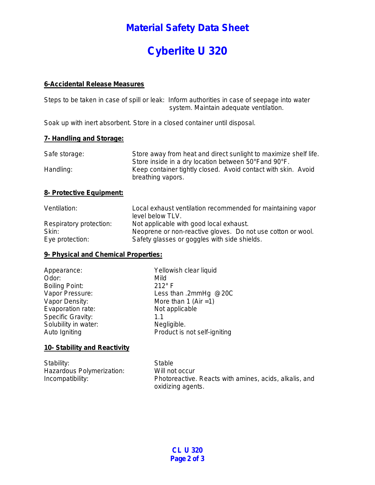## **Material Safety Data Sheet**

# **Cyberlite U 320**

#### **6-Accidental Release Measures**

Steps to be taken in case of spill or leak: Inform authorities in case of seepage into water system. Maintain adequate ventilation.

Soak up with inert absorbent. Store in a closed container until disposal.

#### **7- Handling and Storage:**

| Safe storage: | Store away from heat and direct sunlight to maximize shelf life.                   |
|---------------|------------------------------------------------------------------------------------|
|               | Store inside in a dry location between 50°Fand 90°F.                               |
| Handling:     | Keep container tightly closed. Avoid contact with skin. Avoid<br>breathing vapors. |

### **8- Protective Equipment:**

| Ventilation:            | Local exhaust ventilation recommended for maintaining vapor<br>level below TLV. |
|-------------------------|---------------------------------------------------------------------------------|
| Respiratory protection: | Not applicable with good local exhaust.                                         |
| Skin:                   | Neoprene or non-reactive gloves. Do not use cotton or wool.                     |
| Eye protection:         | Safety glasses or goggles with side shields.                                    |

### **9- Physical and Chemical Properties:**

| Appearance:           | Yellowish clear liquid       |
|-----------------------|------------------------------|
| Odor:                 | Mild                         |
| <b>Boiling Point:</b> | $212^{\circ}$ F              |
| Vapor Pressure:       | Less than .2mmHg @20C        |
| Vapor Density:        | More than 1 (Air $=1$ )      |
| Evaporation rate:     | Not applicable               |
| Specific Gravity:     | 1.1                          |
| Solubility in water:  | Negligible.                  |
| Auto Igniting         | Product is not self-igniting |
|                       |                              |

### **10- Stability and Reactivity**

| Stability:                | Stable                                                 |
|---------------------------|--------------------------------------------------------|
| Hazardous Polymerization: | Will not occur                                         |
| Incompatibility:          | Photoreactive. Reacts with amines, acids, alkalis, and |
|                           | oxidizing agents.                                      |